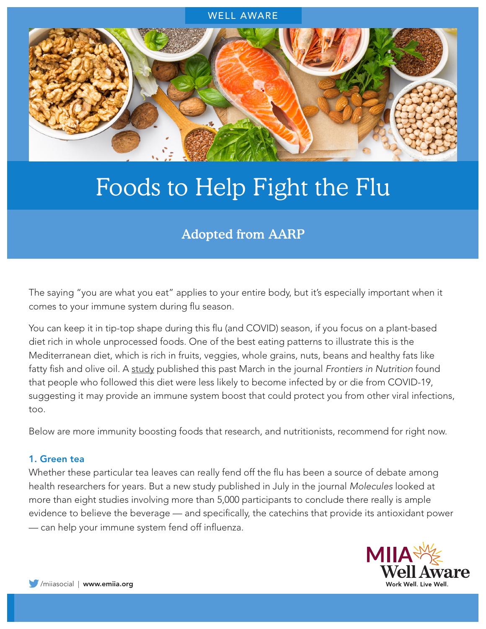### WELL AWARE



# Foods to Help Fight the Flu

## Adopted from AARP

The saying "you are what you eat" applies to your entire body, but it's especially important when it comes to your immune system during flu season.

You can keep it in tip-top shape during this flu (and COVID) season, if you focus on a plant-based diet rich in whole unprocessed foods. One of the best eating patterns to illustrate this is the Mediterranean diet, which is rich in fruits, veggies, whole grains, nuts, beans and healthy fats like fatty fish and olive oil. A [study](https://www.frontiersin.org/articles/10.3389/fnut.2021.591964/full) published this past March in the journal *Frontiers in Nutrition* found that people who followed this diet were less likely to become infected by or die from COVID-19, suggesting it may provide an immune system boost that could protect you from other viral infections, too.

Below are more immunity boosting foods that research, and nutritionists, recommend for right now.

#### 1. Green tea

Whether these particular tea leaves can really fend off the flu has been a source of debate among health researchers for years. But a new study published in July in the journal *Molecules* looked at more than eight studies involving more than 5,000 participants to conclude there really is ample evidence to believe the beverage — and specifically, the catechins that provide its antioxidant power — can help your immune system fend off influenza.